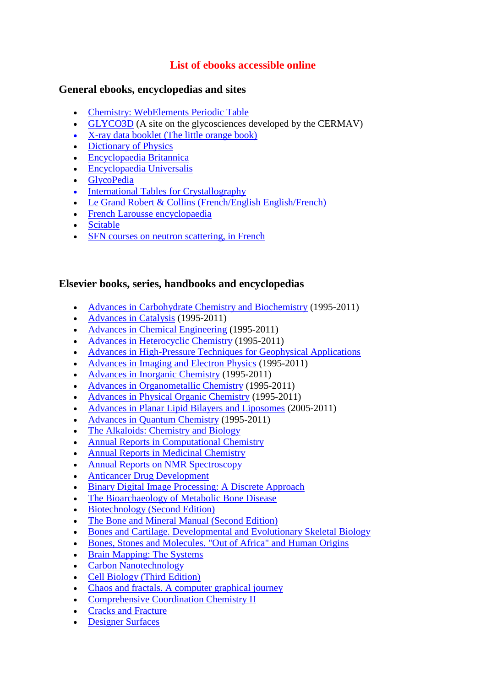# **List of ebooks accessible online**

### **General ebooks, encyclopedias and sites**

- [Chemistry: WebElements Periodic Table](http://www.webelements.com/)
- [GLYCO3D](http://glyco3d.cermav.cnrs.fr/) (A site on the glycosciences developed by the CERMAV)
- [X-ray data booklet \(The little orange book\)](http://xdb.lbl.gov/)
- [Dictionary of Physics](http://www.alcyone.com/max/physics/laws/index.html)
- [Encyclopaedia Britannica](http://www.britannica.com/?cameFromBol=true)
- [Encyclopaedia Universalis](http://www.universalis-edu.com/)
- [GlycoPedia](http://glycopedia.eu/)
- [International Tables for Crystallography](https://onlinelibrary.wiley.com/doi/book/10.1107/97809553602060000001)
- [Le Grand Robert & Collins \(French/English English/French\)](http://rc2009.bvdep.com/)
- [French Larousse encyclopaedia](http://www.larousse.fr/encyclopedie/)
- [Scitable](http://www.nature.com/scitable)
- [SFN courses on neutron scattering, in French](http://www.sfn.asso.fr/Enseignement/CommentFaire.html)

## **Elsevier books, series, handbooks and encyclopedias**

- [Advances in Carbohydrate Chemistry and Biochemistry](http://www.sciencedirect.com/science/bookseries/00652318) (1995-2011)
- [Advances in Catalysis](http://www.sciencedirect.com/science/bookseries/03600564) (1995-2011)
- [Advances in Chemical Engineering](http://www.sciencedirect.com/science/bookseries/00652377) (1995-2011)
- [Advances in Heterocyclic Chemistry](http://www.sciencedirect.com/science/bookseries/00652725) (1995-2011)
- [Advances in High-Pressure Techniques for Geophysical Applications](http://www.sciencedirect.com/science/book/9780444519795)
- [Advances in Imaging and Electron Physics](http://www.sciencedirect.com/science/bookseries/10765670) (1995-2011)
- [Advances in Inorganic Chemistry](http://www.sciencedirect.com/science/bookseries/08988838) (1995-2011)
- [Advances in Organometallic Chemistry](http://www.sciencedirect.com/science/bookseries/00653055) (1995-2011)
- [Advances in Physical Organic Chemistry](http://www.sciencedirect.com/science/bookseries/00653160) (1995-2011)
- [Advances in Planar Lipid Bilayers and Liposomes](http://www.sciencedirect.com/science/bookseries/15544516) (2005-2011)
- [Advances in Quantum Chemistry](http://www.sciencedirect.com/science/bookseries/00653276) (1995-2011)
- [The Alkaloids: Chemistry and Biology](http://www.sciencedirect.com/science/bookseries/10994831)
- [Annual Reports in Computational Chemistry](http://www.sciencedirect.com/science/bookseries/15741400)
- [Annual Reports in Medicinal Chemistry](http://www.sciencedirect.com/science/bookseries/00657743)
- [Annual Reports on NMR Spectroscopy](http://www.sciencedirect.com/science/bookseries/00664103)
- [Anticancer Drug Development](http://www.sciencedirect.com/science/book/9780120726516)
- [Binary Digital Image Processing: A Discrete Approach](http://www.sciencedirect.com/science/book/9780124705050)
- [The Bioarchaeology of Metabolic Bone Disease](http://www.sciencedirect.com/science/book/9780123704863)
- [Biotechnology \(Second Edition\)](http://www.sciencedirect.com/science/book/9780120845620)
- [The Bone and Mineral Manual \(Second Edition\)](http://www.sciencedirect.com/science/book/9780120885695)
- [Bones and Cartilage. Developmental and Evolutionary Skeletal Biology](http://www.sciencedirect.com/science/book/9780123190604)
- [Bones, Stones and Molecules. "Out of Africa" and Human Origins](http://www.sciencedirect.com/science/book/9780121569334)
- [Brain Mapping: The Systems](http://www.sciencedirect.com/science/book/9780126925456)
- [Carbon Nanotechnology](http://www.sciencedirect.com/science/book/9780444518552)
- [Cell Biology \(Third Edition\)](http://www.sciencedirect.com/science/book/9780121647308)
- [Chaos and fractals. A computer graphical journey](http://www.sciencedirect.com/science/book/9780444500021)
- [Comprehensive Coordination Chemistry II](http://www.sciencedirect.com/science/referenceworks/9780080437484)
- [Cracks and Fracture](http://www.sciencedirect.com/science/book/9780121341305)
- [Designer Surfaces](http://www.sciencedirect.com/science/book/9780444530486)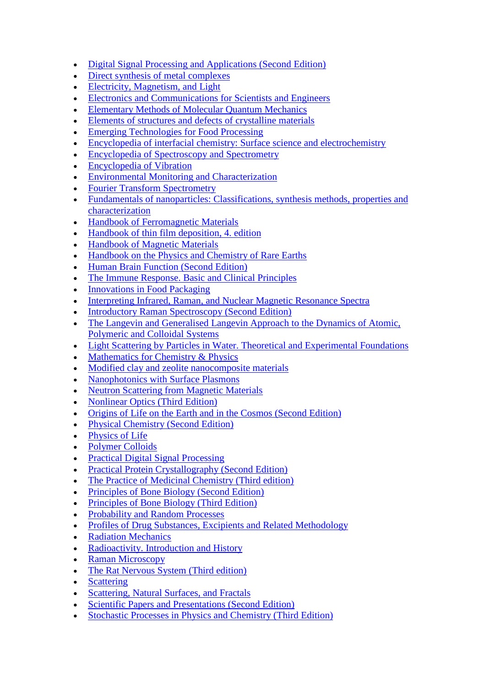- [Digital Signal Processing and Applications \(Second Edition\)](http://www.sciencedirect.com/science/book/9780750663441)
- [Direct synthesis of metal complexes](https://doi.org/10.1016/C2016-0-00655-1)
- [Electricity, Magnetism, and Light](http://www.sciencedirect.com/science/book/9780126194555)
- [Electronics and Communications for Scientists and Engineers](http://www.sciencedirect.com/science/book/9780125330848)
- [Elementary Methods of Molecular Quantum Mechanics](http://www.sciencedirect.com/science/book/9780444527783)
- [Elements of structures and defects of crystalline materials](https://doi.org/10.1016/C2017-0-00834-0)
- [Emerging Technologies for Food Processing](http://www.sciencedirect.com/science/book/9780126767575)
- [Encyclopedia of interfacial chemistry: Surface science and electrochemistry](https://www.sciencedirect.com/referencework/9780128098943/encyclopedia-of-interfacial-chemistry#book-info)
- [Encyclopedia of Spectroscopy and Spectrometry](http://www.sciencedirect.com/science/referenceworks/9780122266805)
- [Encyclopedia of Vibration](http://www.sciencedirect.com/science/referenceworks/9780122270857)
- [Environmental Monitoring and Characterization](http://www.sciencedirect.com/science/book/9780120644773)
- [Fourier Transform Spectrometry](http://www.sciencedirect.com/science/book/9780120425105)
- Fundamentals of nanoparticles: Classifications, synthesis methods, properties and [characterization](https://doi.org/10.1016/C2016-0-01899-5)
- [Handbook of Ferromagnetic Materials](http://www.sciencedirect.com/science/handbooks/15749304)
- [Handbook of thin film deposition, 4. edition](https://doi.org/10.1016/C2016-0-03243-6)
- [Handbook of Magnetic Materials](http://www.sciencedirect.com/science/handbooks/15672719)
- [Handbook on the Physics and Chemistry of Rare Earths](http://www.sciencedirect.com/science/handbooks/01681273)
- [Human Brain Function \(Second Edition\)](http://www.sciencedirect.com/science/book/9780122648410)
- [The Immune Response. Basic and Clinical Principles](http://www.sciencedirect.com/science/book/9780120884513)
- [Innovations in Food Packaging](http://www.sciencedirect.com/science/book/9780123116321)
- [Interpreting Infrared, Raman, and Nuclear Magnetic Resonance Spectra](http://www.sciencedirect.com/science/book/9780125234757)
- [Introductory Raman Spectroscopy \(Second Edition\)](http://www.sciencedirect.com/science/book/9780122541056)
- The Langevin and Generalised Langevin Approach to the Dynamics of Atomic, [Polymeric and Colloidal Systems](http://www.sciencedirect.com/science/book/9780444521293)
- [Light Scattering by Particles in Water. Theoretical and Experimental Foundations](http://www.sciencedirect.com/science/book/9780123887511)
- [Mathematics for Chemistry & Physics](http://www.sciencedirect.com/science/book/9780127050515)
- [Modified clay and zeolite nanocomposite materials](https://doi.org/10.1016/C2017-0-01250-8)
- [Nanophotonics with Surface Plasmons](http://www.sciencedirect.com/science/book/9780444528384)
- [Neutron Scattering from Magnetic Materials](http://www.sciencedirect.com/science/book/9780444510501)
- [Nonlinear Optics \(Third Edition\)](http://www.sciencedirect.com/science/book/9780123694706)
- [Origins of Life on the Earth and in the Cosmos \(Second Edition\)](http://www.sciencedirect.com/science/book/9780127819105)
- [Physical Chemistry \(Second Edition\)](http://www.sciencedirect.com/science/book/9780125083454)
- [Physics of Life](http://www.sciencedirect.com/science/book/9780444527981)
- [Polymer Colloids](http://www.sciencedirect.com/science/book/9780122577451)
- [Practical Digital Signal Processing](http://www.sciencedirect.com/science/book/9780750657983)
- [Practical Protein Crystallography \(Second Edition\)](http://www.sciencedirect.com/science/book/9780124860520)
- [The Practice of Medicinal Chemistry \(Third edition\)](http://www.sciencedirect.com/science/book/9780123741943)
- [Principles of Bone Biology \(Second Edition\)](http://www.sciencedirect.com/science/book/9780120986521)
- [Principles of Bone Biology \(Third Edition\)](http://www.sciencedirect.com/science/book/9780123738844)
- [Probability and Random Processes](http://www.sciencedirect.com/science/book/9780121726515)
- [Profiles of Drug Substances, Excipients and Related Methodology](http://www.sciencedirect.com/science/bookseries/18715125)
- [Radiation Mechanics](http://www.sciencedirect.com/science/book/9780080450537)
- [Radioactivity. Introduction and History](http://www.sciencedirect.com/science/book/9780444527158)
- [Raman Microscopy](http://www.sciencedirect.com/science/book/9780121896904)
- [The Rat Nervous System \(Third edition\)](http://www.sciencedirect.com/science/book/9780125476386)
- [Scattering](http://www.sciencedirect.com/science/book/9780126137606)
- [Scattering, Natural Surfaces, and Fractals](http://www.sciencedirect.com/science/book/9780122656552)
- [Scientific Papers and Presentations \(Second Edition\)](http://www.sciencedirect.com/science/book/9780120884247)
- [Stochastic Processes in Physics and Chemistry \(Third Edition\)](http://www.sciencedirect.com/science/book/9780444529657)